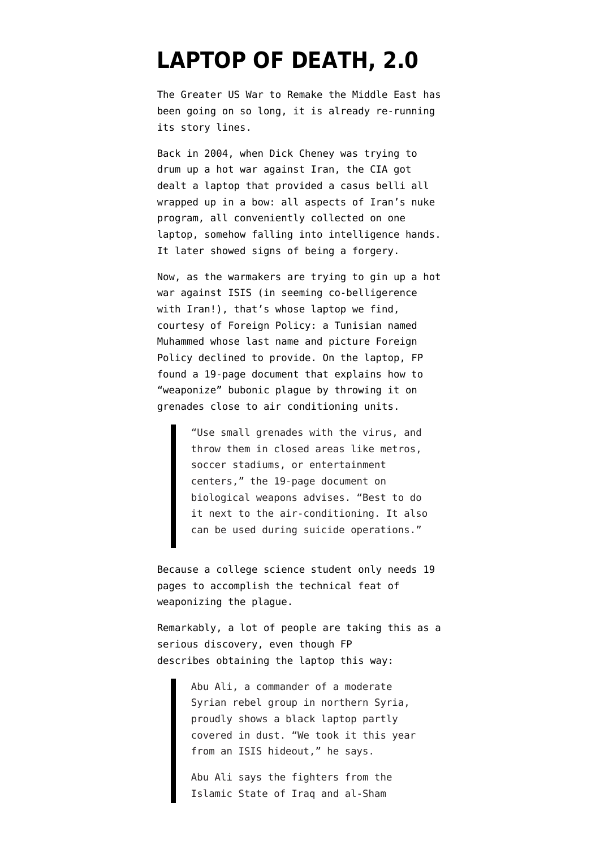## **[LAPTOP OF DEATH, 2.0](https://www.emptywheel.net/2014/08/29/laptop-of-death-2-0/)**

The Greater US War to Remake the Middle East has been going on so long, it is already re-running its story lines.

Back in 2004, when Dick Cheney was trying to drum up a hot war against Iran, the CIA got dealt a [laptop that provided a casus belli all](http://www.emptywheel.net/2008/11/10/surprise-surprise-laptop-of-death-a-possible-forgery/) [wrapped up in a bow](http://www.emptywheel.net/2008/11/10/surprise-surprise-laptop-of-death-a-possible-forgery/): all aspects of Iran's nuke program, all conveniently collected on one laptop, somehow falling into intelligence hands. It later showed signs of being a forgery.

Now, as the warmakers are trying to gin up a hot war against ISIS (in seeming co-belligerence with Iran!), that's whose laptop we find, [courtesy of Foreign Policy:](http://www.foreignpolicy.com/articles/2014/08/28/found_the_islamic_state_terror_laptop_of_doom_bubonic_plague_weapons_of_mass_destruction_exclusive) a Tunisian named Muhammed whose last name and picture Foreign Policy declined to provide. On the laptop, FP found a 19-page document that explains how to "weaponize" bubonic plague by throwing it on grenades close to air conditioning units.

> "Use small grenades with the virus, and throw them in closed areas like metros, soccer stadiums, or entertainment centers," the 19-page document on biological weapons advises. "Best to do it next to the air-conditioning. It also can be used during suicide operations."

Because a college science student only needs 19 pages to accomplish the technical feat of weaponizing the plague.

Remarkably, a lot of people are taking this as a serious discovery, even though FP describes obtaining the laptop this way:

> Abu Ali, a commander of a moderate Syrian rebel group in northern Syria, proudly shows a black laptop partly covered in dust. "We took it this year from an ISIS hideout," he says.

Abu Ali says the fighters from the Islamic State of Iraq and al-Sham